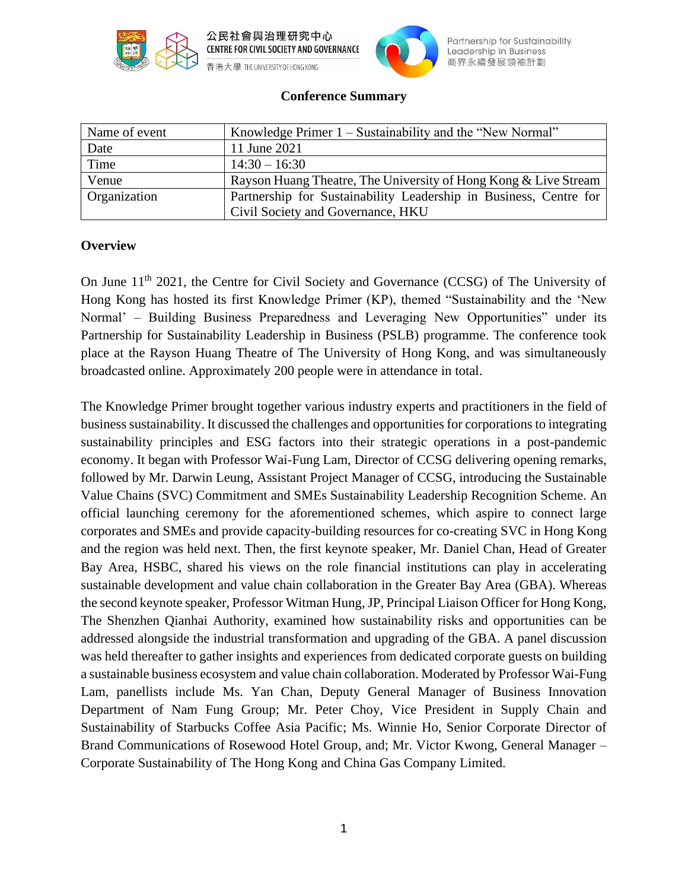



Partnership for Sustainability Leadership in Business 商界永續發展領袖計劃

### **Conference Summary**

| Name of event | Knowledge Primer 1 – Sustainability and the "New Normal"          |
|---------------|-------------------------------------------------------------------|
| Date          | 11 June 2021                                                      |
| Time          | $14:30 - 16:30$                                                   |
| Venue         | Rayson Huang Theatre, The University of Hong Kong & Live Stream   |
| Organization  | Partnership for Sustainability Leadership in Business, Centre for |
|               | Civil Society and Governance, HKU                                 |

### **Overview**

On June 11<sup>th</sup> 2021, the Centre for Civil Society and Governance (CCSG) of The University of Hong Kong has hosted its first Knowledge Primer (KP), themed "Sustainability and the 'New Normal' – Building Business Preparedness and Leveraging New Opportunities" under its Partnership for Sustainability Leadership in Business (PSLB) programme. The conference took place at the Rayson Huang Theatre of The University of Hong Kong, and was simultaneously broadcasted online. Approximately 200 people were in attendance in total.

The Knowledge Primer brought together various industry experts and practitioners in the field of business sustainability. It discussed the challenges and opportunities for corporations to integrating sustainability principles and ESG factors into their strategic operations in a post-pandemic economy. It began with Professor Wai-Fung Lam, Director of CCSG delivering opening remarks, followed by Mr. Darwin Leung, Assistant Project Manager of CCSG, introducing the Sustainable Value Chains (SVC) Commitment and SMEs Sustainability Leadership Recognition Scheme. An official launching ceremony for the aforementioned schemes, which aspire to connect large corporates and SMEs and provide capacity-building resources for co-creating SVC in Hong Kong and the region was held next. Then, the first keynote speaker, Mr. Daniel Chan, Head of Greater Bay Area, HSBC, shared his views on the role financial institutions can play in accelerating sustainable development and value chain collaboration in the Greater Bay Area (GBA). Whereas the second keynote speaker, Professor Witman Hung, JP, Principal Liaison Officer for Hong Kong, The Shenzhen Qianhai Authority, examined how sustainability risks and opportunities can be addressed alongside the industrial transformation and upgrading of the GBA. A panel discussion was held thereafter to gather insights and experiences from dedicated corporate guests on building a sustainable business ecosystem and value chain collaboration. Moderated by Professor Wai-Fung Lam, panellists include Ms. Yan Chan, Deputy General Manager of Business Innovation Department of Nam Fung Group; Mr. Peter Choy, Vice President in Supply Chain and Sustainability of Starbucks Coffee Asia Pacific; Ms. Winnie Ho, Senior Corporate Director of Brand Communications of Rosewood Hotel Group, and; Mr. Victor Kwong, General Manager – Corporate Sustainability of The Hong Kong and China Gas Company Limited.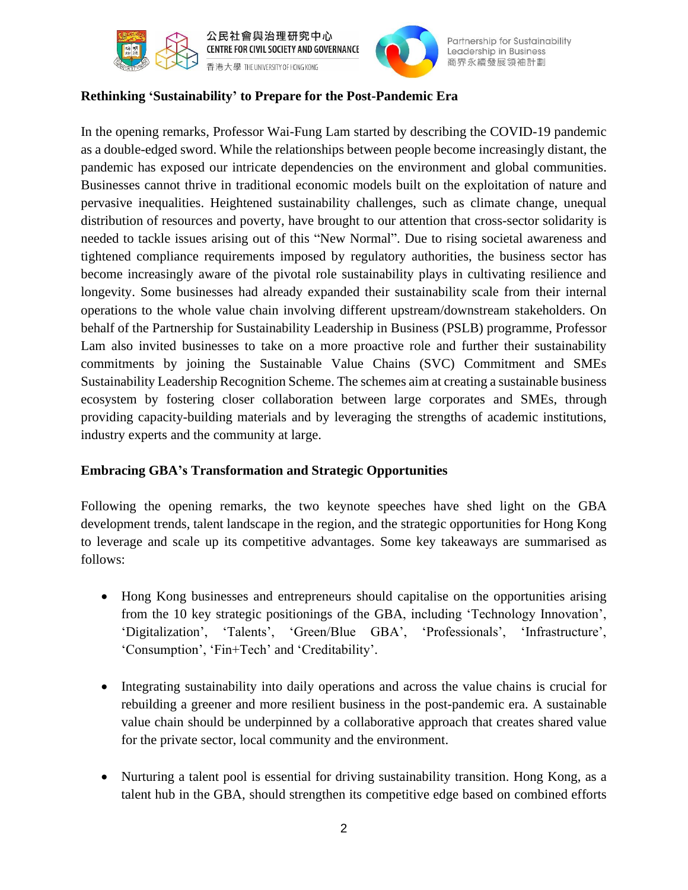



Partnership for Sustainability Leadership in Business 商界永續發展領袖計劃

# **Rethinking 'Sustainability' to Prepare for the Post-Pandemic Era**

In the opening remarks, Professor Wai-Fung Lam started by describing the COVID-19 pandemic as a double-edged sword. While the relationships between people become increasingly distant, the pandemic has exposed our intricate dependencies on the environment and global communities. Businesses cannot thrive in traditional economic models built on the exploitation of nature and pervasive inequalities. Heightened sustainability challenges, such as climate change, unequal distribution of resources and poverty, have brought to our attention that cross-sector solidarity is needed to tackle issues arising out of this "New Normal". Due to rising societal awareness and tightened compliance requirements imposed by regulatory authorities, the business sector has become increasingly aware of the pivotal role sustainability plays in cultivating resilience and longevity. Some businesses had already expanded their sustainability scale from their internal operations to the whole value chain involving different upstream/downstream stakeholders. On behalf of the Partnership for Sustainability Leadership in Business (PSLB) programme, Professor Lam also invited businesses to take on a more proactive role and further their sustainability commitments by joining the Sustainable Value Chains (SVC) Commitment and SMEs Sustainability Leadership Recognition Scheme. The schemes aim at creating a sustainable business ecosystem by fostering closer collaboration between large corporates and SMEs, through providing capacity-building materials and by leveraging the strengths of academic institutions, industry experts and the community at large.

### **Embracing GBA's Transformation and Strategic Opportunities**

Following the opening remarks, the two keynote speeches have shed light on the GBA development trends, talent landscape in the region, and the strategic opportunities for Hong Kong to leverage and scale up its competitive advantages. Some key takeaways are summarised as follows:

- Hong Kong businesses and entrepreneurs should capitalise on the opportunities arising from the 10 key strategic positionings of the GBA, including 'Technology Innovation', 'Digitalization', 'Talents', 'Green/Blue GBA', 'Professionals', 'Infrastructure', 'Consumption', 'Fin+Tech' and 'Creditability'.
- Integrating sustainability into daily operations and across the value chains is crucial for rebuilding a greener and more resilient business in the post-pandemic era. A sustainable value chain should be underpinned by a collaborative approach that creates shared value for the private sector, local community and the environment.
- Nurturing a talent pool is essential for driving sustainability transition. Hong Kong, as a talent hub in the GBA, should strengthen its competitive edge based on combined efforts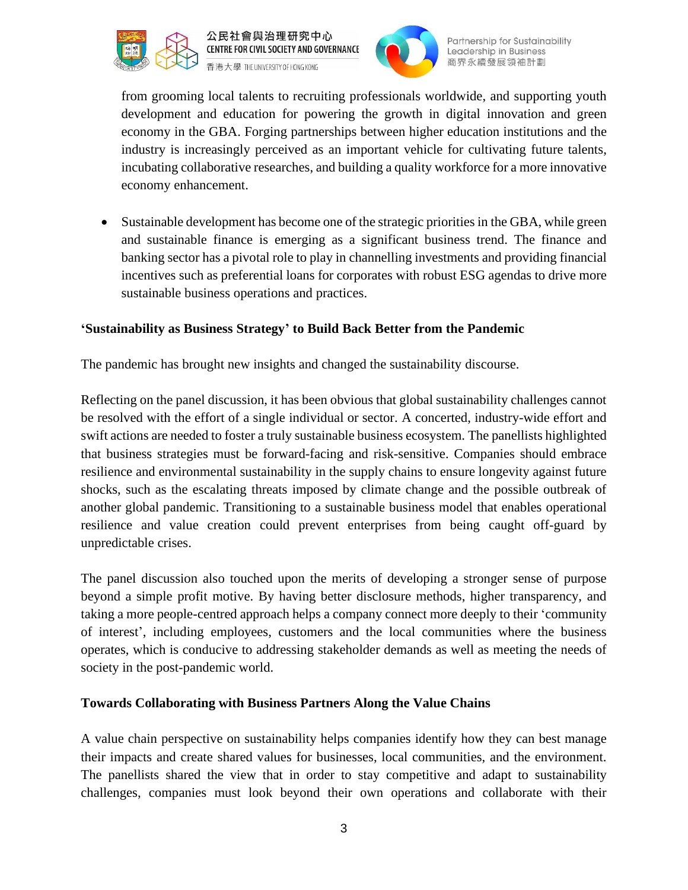



Partnership for Sustainability Leadership in Business 商界永續發展領袖計劃

from grooming local talents to recruiting professionals worldwide, and supporting youth development and education for powering the growth in digital innovation and green economy in the GBA. Forging partnerships between higher education institutions and the industry is increasingly perceived as an important vehicle for cultivating future talents, incubating collaborative researches, and building a quality workforce for a more innovative economy enhancement.

Sustainable development has become one of the strategic priorities in the GBA, while green and sustainable finance is emerging as a significant business trend. The finance and banking sector has a pivotal role to play in channelling investments and providing financial incentives such as preferential loans for corporates with robust ESG agendas to drive more sustainable business operations and practices.

# **'Sustainability as Business Strategy' to Build Back Better from the Pandemic**

The pandemic has brought new insights and changed the sustainability discourse.

Reflecting on the panel discussion, it has been obvious that global sustainability challenges cannot be resolved with the effort of a single individual or sector. A concerted, industry-wide effort and swift actions are needed to foster a truly sustainable business ecosystem. The panellists highlighted that business strategies must be forward-facing and risk-sensitive. Companies should embrace resilience and environmental sustainability in the supply chains to ensure longevity against future shocks, such as the escalating threats imposed by climate change and the possible outbreak of another global pandemic. Transitioning to a sustainable business model that enables operational resilience and value creation could prevent enterprises from being caught off-guard by unpredictable crises.

The panel discussion also touched upon the merits of developing a stronger sense of purpose beyond a simple profit motive. By having better disclosure methods, higher transparency, and taking a more people-centred approach helps a company connect more deeply to their 'community of interest', including employees, customers and the local communities where the business operates, which is conducive to addressing stakeholder demands as well as meeting the needs of society in the post-pandemic world.

## **Towards Collaborating with Business Partners Along the Value Chains**

A value chain perspective on sustainability helps companies identify how they can best manage their impacts and create shared values for businesses, local communities, and the environment. The panellists shared the view that in order to stay competitive and adapt to sustainability challenges, companies must look beyond their own operations and collaborate with their